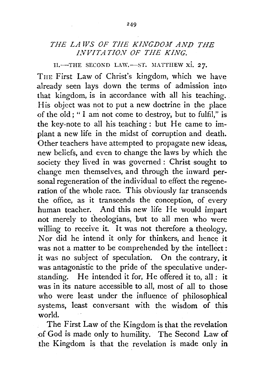## THE LAWS OF THE KINGDOM AND THE *INVITATION OF THE KING.*

II.-THE SECOND LAW.-ST. MATTHEW xi. 27.

TnE First Law of Christ's kingdom, which we have already seen lays down the terms of admission into that kingdom, is in accordance with all his teaching. His object was not to put a new doctrine in the place of the old; "I am not come to destroy, but to fulfil," is the key-note to all his teaching: but He came to implant a new life in the midst of corruption and death. Other teachers have attempted to propagate new ideas, new beliefs, and even to change the laws by which the society they lived in was governed : Christ sought to change men themselves, and through the inward personal regeneration of the individual to effect the regeneration of the whole race. This obviously far transcends the office, as it transcends the conception, of every human teacher. And this new life He would impart not merely to theologians, but to all men who were willing to receive it. It was not therefore a theology. Nor did he intend it only for thinkers, and hence it was not a matter to be comprehended by the intellect: it was no subject of speculation. On the contrary, it was antagonistic to the pride of the speculative understanding. He intended it for, He offered it to, all: it was in its nature accessible to all, most of all to those who were least under the influence of philosophical systems, least conversant with the wisdom of this world.

The First Law of the Kingdom is that the revelation of God is made only to humility. The Second Law of .the Kingdom is that the revelation is made only in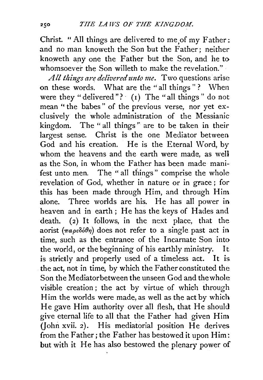Christ. "All things are delivered to me of my Father: and no man knoweth the Son but the Father; neither knoweth apy one the Father but the Son, and he to whomsoever the Son willeth to make the revelation."

*All things are delivered unto me.* Two questions arise on these words. What are the "all things"? When were they " delivered"?  $\lceil (1) \rceil$  The "all things" do not mean "the babes" of the previous verse, nor yet exclusively the whole administration of the Messianic kingdom. The " all things " are to be taken in their largest sense. Christ is the one Mediator between God and his creation. He is the Eternal Word, by whom the heavens and the earth were made, as well as the Son, in whom the Father has been made manifest unto men. The " all things" comprise the whole revelation of God, whether in nature or in grace ; for this has been made through Him, and through Him alone. Three worlds are his. He has all power in heaven and in earth; He has the keys of Hades and death. (2) It follows, in the next place, that the aorist  $(\pi a \rho \epsilon \delta \phi)$  does not refer to a single past act in time, such as the entrance of the Incarnate Son into the world, or the beginning of his earthly ministry. It is strictly and properly used of a timeless act. It is the act, not in time, by which the Father constituted the Son the Mediator between the unseen God and the whole visible creation ; the act by virtue of which through Him the worlds were made, as well as the act by which He gave Him authority over all flesh, that He should give eternal life to all that the Father had given Him (John xvii. 2). His mediatorial position He derives from the Father; the Father has bestowed it upon Him: but with it He has also bestowed the plenary power of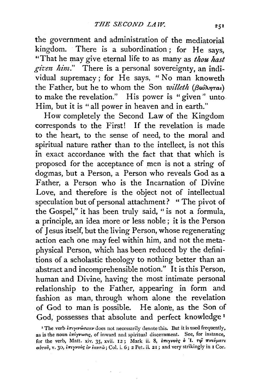the government and administration of the mediatorial kingdom. There is a subordination; for He says, "That he may give eternal life to as many as *thou hast git:en him."* There is a personal sovereignty, an individual supremacy; for He says, "No man knoweth the Father, but he to whom the Son *willeth (βούληται*) to make the revelation." His power is "given" unto Him, but it is "all power in heaven and in earth."

How completely the Second Law of the Kingdom corresponds to the First! If the revelation is made to the heart, to the sense of need, to the moral and spiritual nature rather than to the intellect, is not this in exact accordance with the fact that that which is proposed for the acceptance of men is not a string of dogmas, but a Person, a Person who reveals God as a Father, a Person who is the Incarnation of Divine Love, and therefore is the object not of intellectual speculation but of personal attachment? " The pivot of the Gospel," it has been truly said, " is not a formula, a principle, an idea more or less noble ; it is the Person of Jesus itself, but the living Person, whose regenerating action each one may feel within him, and not the metaphysical Person, which has been reduced by the definitions of a scholastic theology to nothing better than an abstract and incomprehensible notion." It is this Person, human and Divine, having the most intimate personal relationship to the Father, appearing in form and fashion as man, through whom alone the revelation of God to man is possible. He alone, as the Son of God, possesses that absolute and perfect knowledge 1

**Contract** 

<sup>&</sup>lt;sup>1</sup> The verb  $i\pi i$ yiv $\omega \sigma \kappa \epsilon \nu$  does not necessarily denote this. But it is used frequently, as is the noun  $i\pi i\gamma\nu\omega\sigma_i\epsilon$ , of inward and spiritual discernment. See, for instance, for the verb, Matt. xiv. 35, xvii. 12; Mark ii. 8, επιγνούς ο 'Ι. τι πνεύματι abrov, v. 30, *i* $\pi$ *iyvovc iv iauro*; Col. i. 6; 2 Pet. ii. 21; and very strikingly in I Cor.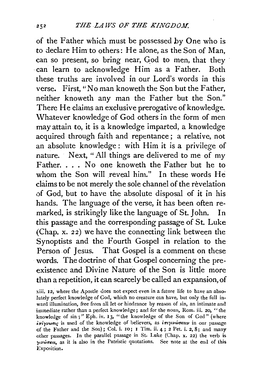of the Father which must be possessed by One who is to declare Him to others: He alone, as the Son of Man, can so present, so bring near, God to men, that they can learn to acknowledge Him as a Father. Both these truths are involved in our Lord's words in this verse. First, "No man knoweth the Son but the Father, neither knoweth any man the Father but the Son." There He claims an exclusive prerogative of knowledge. Whatever knowledge of God others in the form of men may attain to, it is a knowledge imparted, a knowledge acquired through faith and repentance; a relative, not an absolute knowledge: with Him it is a privilege of nature. Next, "All things are delivered to me of my Father. . . . No one knoweth the Father but he to whom the Son will reveal him." In these words He claims to be not merely the sole channel of the revelation of God, hut to have the absolute disposal of it in his hands. The language of the verse, it has been often remarked, is strikingly like the language of St. John. In this passage and the corresponding passage of St. Luke (Chap. x. 22) we have the connecting link between the Synoptists and the Fourth Gospel in relation to the Person of Jesus. That Gospel is a comment on these words. The doctrine of that Gospel concerning the preexistence and Divine Nature of the Son is little more than a repetition, it can scarcely be called an expansion, of

xiii. 12, where the Apostle does not expect even in a future life to have an absolutely perfect knowledge of God, which no creature can have, but only the full inward illumination, free from all let or hindrance by reason of sin, an intimate and immediate rather than a perfect knowledge; and for the noun, Rom. iii. 20, "the knowledge of  $sin$ ;" Eph. iv. 13, "the knowledge of the Son of God" (where  $i\pi i\gamma\nu\omega\sigma i$  is used of the knowledge of believers, as  $i\pi i\gamma\iota\nu\omega\sigma\kappa\epsilon\nu$  in our passage of the Father aud the Son) ; Col. i. 10; I Tim. ii. 4 ; 2 Pet. i. 2, 8; and many other passages. In the parallel passage in St. Luke (Chap. x. 22) the verb is *')'•Vw111eu,* as it is also in the Patristic quotations. See note at the ernl of this Exposition.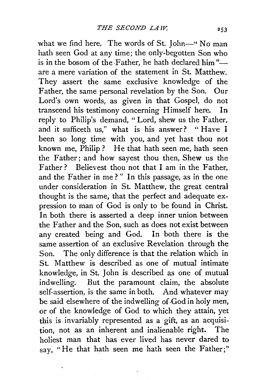what we find here. The words of St. John-" No man hath seen God at any time; the only-begotten Son who is in the bosom of the Father, he hath declared him" $$ are a mere variation of the statement in St. Matthew. They assert the same exclusive knowledge of the Father, the same personal revelation by the Son. Our Lord's own words, as given in that Gospe1, do not transcend his testimony concerning Himself here. In reply to Philip's demand, "Lord, shew us the Father, and it sufficeth us," what is his answer? " Have I been so long time with you, and yet hast thou not known me, Philip? He that hath seen me, hath seen the Father; and how sayest thou then, Shew us the Father? Believest thou not that I am in the Father, and the Father in me?" In this passage, as in the one under consideration in St. Matthew, the great central thought is the same, that the perfect and adequate expression to man of God is only to be found in Christ. In both there is asserted a deep inner union between the Father and the Son, such as does not exist between any created being and God. In both there is the same assertion of an exclusive Revelation through the Son. The only difference is that the relation which in St. Matthew is described as one of mutual intimate knowledge, in St. John is described as one of mutual indwelling. But the paramount claim, the absolute self-assertion, is the same in both. And whatever may be said elsewhere of the indwelling of-God in holy men, or of the knowledge of God to which they attain, yet this is invariably represented as a gift, as an acquisition, not as an inherent and inalienable right. The holiest man that has ever lived has never dared to say, "He that hath seen me hath seen the Father;"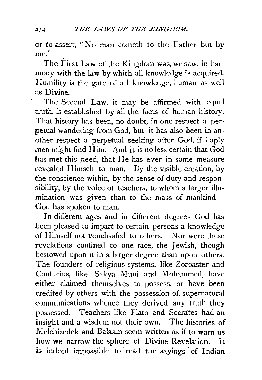or *to* assert, " No man cometh *to* the Father but by me."

The First Law of the Kingdom was, we saw, in harmony with the law by which all knowledge is acquired. Humility is the gate of all knowledge, human as well as Divine.

The Second Law, it may be affirmed with equal truth, is established by all the facts of human history. That history has been, no doubt, in one respect a perpetual wandering from God, but it has also been in another respect a perpetual seeking after God, if haply men might find Him. And it is no less certain that God has met this need, that He has ever in some measure revealed Himself *to* man. By the visible creation, by the conscience within, by the sense of duty and responsibility, by the voice of teachers, *to* whom a larger illumination was given than to the mass of mankind-God has spoken *to* man.

In different ages and in different degrees God has been pleased to impart to certain persons a knowledge of Himself not vouchsafed *to* others. Nor were these revelations confined *to* one race, the Jewish, though bestowed upon it in a larger degree than upon others. The founders of religious systems, like Zoroaster and Confucius, like Sakya Muni and Mohammed, have either claimed themselves *to* possess, or have been credited by others with the possession of, supernatural communications whence they derived any truth they possessed. Teachers like Plato and Socrates had an insight and a wisdom not their own. The histories of Melchizedek and Balaam seem written as if to warn us how we narrow the sphere of Divine Revelation. It is indeed impossible to read the sayings of Indian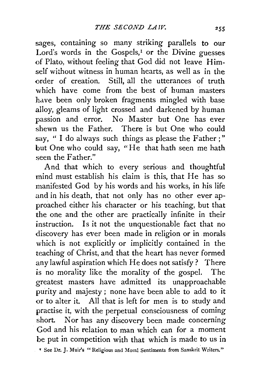sages, containing so many striking parallels to our Lord's words in the Gospels,<sup> $I$ </sup> or the Divine guesses of Plato, without feeling that God did not leave Himself without witness in human hearts, as well as in the order of creation. Still, all the utterances of truth which have come from the best of human masters have been only broken fragments mingled with base alloy, gleams of light crossed and darkened by human passion and error. No Master but One has ever shewn us the Father. There is but One who could say, " I do always such things as please the Father;" but One who could say, "He that hath seen me hath seen the Father."

And that which *to* every serious and thoughtful mind must establish his claim is this, that He has so manifested God by his words and his works, in his life and in his death, that not only has no other ever approached either his character or his teaching, but that the one and the other are practically infinite in their instruction. Is it not the unquestionable fact that no discovery has ever been made in religion or in morals which is not explicitly or implicitly contained in the teaching of Christ, and that the heart has never formed any lawful aspiration which He does not satisfy? There is no morality like the morality of the gospel. The greatest masters have admitted its unapproachable purity and majesty; none have been able to add to it or to alter it. All that is left for men is to study and practise it, with the perpetual consciousness of coming short. Nor has any discovery been made concerning God and his relation to man which can for a moment be put in competition with that which is made to us in

~ See Dr. J. Muir's "Religious and Moral Sentiments from Sanskrit Writers."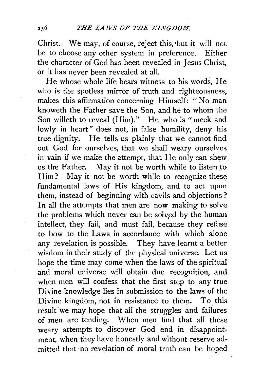Christ. We may, of course, reject this,'but it will net be to choose any other system in preference. Either the character of God has been revealed in Jesus Christ, or it has never been revealed at all.

He whose whole life bears witness to his words, He who is the spotless mirror of truth and righteousness, makes this affirmation concerning Himself: "No man knoweth the Father save the Son, and he to whom the Son willeth to reveal (Him)." He who is "meek and lowly in heart" does not, in false humility, deny his true dignity. He tells us plainly that we cannot find out God for ourselves, that we shall weary ourselves in vain if we make the attempt, that He only can shew us the Father. May it not be worth while to listen to Him? May it not be worth while to recognize these fundamental laws of His kingdom, and to act upon them, instead of beginning with cavils and objections? In all the attempts that men are now making to solve the problems which never can be solved by the human intellect, they fail, and must fail, because they refuse to bow to the Laws in accordance with which alone any revelation is possible. They have learnt a better wisdom in their study of the physical universe. Let us hope the time may come when the laws of the spiritual and moral universe will obtain due recognition, and when men will confess that the first step to any true Divine knowledge lies in submission to the laws of the Divine kingdom, not in resistance to them. To this result we may hope that all the struggles and failures of men are tending. When men find that all these weary attempts to discover God end in disappointment, when they have honestly and without reserve admitted that no revelation of moral truth can be hoped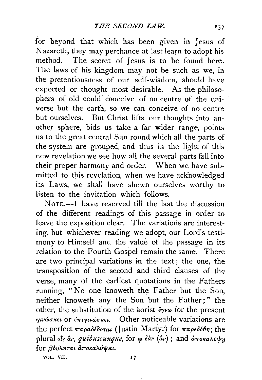for beyond that which has been given in Jesus of Nazareth, they may perchance at last learn to adopt his method. The secret of Jesus is to be found here. The laws of his kingdom may not be such as we, in the pretentiousness of our self-wisdom, should have expected or thought most desirable. As the philosophers of old could conceive of no centre of the universe but the earth, so we can conceive of no centre but ourselves. But Christ lifts our thoughts into another sphere, bids us take a far wider range, points us to the great central Sun round which all the parts of the system are grouped, and thus in the light of this new revelation we see how all the several parts fall into their proper harmony and order. When we have submitted to this revelation, when we have acknowledged its Laws, we shall have shewn ourselves worthy to listen to the invitation which follows.

 $N$  $0$ TE $-$ I have reserved till the last the discussion of the different readings of this passage in order to leave the exposition clear. The variations are interesting, but whichever reading we adopt, our Lord's testimony to Himself and the value of the passage in its relation to the Fourth Gospel remain the same. There are two principal variations in the text ; the one, the transposition of the second and third clauses of the verse, many of the earliest quotations in the Fathers running, "No one knoweth the Father but the Son, neither knoweth any the Son but the Father;" the other, the substitution of the aorist  $\epsilon_{\gamma\nu\omega}$  for the present  $\gamma$ uvώσκει or επιγινώσκει. Other noticeable variations are the perfect  $\pi a \rho a \delta \epsilon \delta \sigma \tau a \iota$  (Justin Martyr) for  $\pi a \rho \epsilon \delta \epsilon \theta \eta$ ; the plural ols  $\hat{a}v$ , *quibuscunque*, for  $\omega \hat{a}dv$  ( $\hat{a}v$ ); and  $\hat{a}\pi$ oka $\lambda\hat{v}\psi$ m for  $\beta$ όυληται αποκαλύψαι.

VOL. VII. 17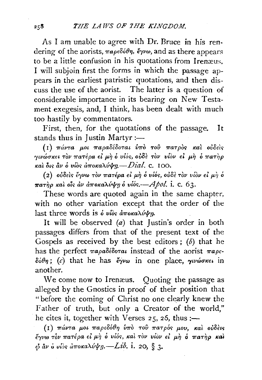As I am unable to agree with Dr. Bruce in his rendering of the aorists, *παρεδόθη*, *ἔγνω*, and as there appears to be a little confusion in his quotations from Iremeus, I will subjoin first the forms in which the passage appears in the earliest patristic quotations, and then discuss the use of the aorist. The latter is a question of considerable importance in its bearing on New Testament exegesis, and, I think, has been dealt with much too hastily by commentators.

First, then, for the quotations of the passage. It stands thus in Justin Martyr :-

(I) πάντα μοι παραδέδοται ύπὸ τοῦ πατρὸς καὶ οὐδεὶς *γινώσκει τον πατέρα εί μη ο υίος, ούδε τον νίον εί μη ο πατηρ*  $K$ αλ δις  $\hat{a}v$  *δ*  $v\hat{b}s$  *άποκαλύψη. Dial.* c. 100.

 $( 2)$  oὐδεὶς ἔγνω τὸν πατέρα εἰ μὴ ὁ υἶός, οὐδὲ τὸν υἶὸν εἰ μὴ ὁ  $\pi a \tau \eta \rho$  και οίς αν αποκαλύψη ο *vίος.* - *Apol.* i. c. 63.

These words are quoted again in the same chapter, with no other variation except that the order of the last three words is *o vios amokaliving*.

It will be observed  $(a)$  that Justin's order in both passages differs from that of the present text of the Gospels as received by the best editors;  $(b)$  that he has the perfect  $\pi a \rho a \delta \epsilon \delta \sigma \tau a \rho$  instead of the aorist  $\pi a \rho \epsilon$ - $\delta\acute{o}\theta\eta$ ; (c) that he has *έγνω* in one place, *γινώσκει* in another.

We come now to Irenæus. Quoting the passage as alleged by the Gnostics in proof of their position that "before the coming of Christ no one clearly knew the Father of truth, but only a Creator of the world," he cites it, together with Verses  $25, 25$ , thus:-

(I) πάντα μοι παρεδόθη ύπο του πατρός μου, και ουδεις " < I > \ " t'! \ ' "' > \ ' \ \ *eyvoo TOV 7raT€pa* €£ }'-') 0 *Vto'>, Ka£ TOV V£OV* €£ *µ71 0 7raTIJP* /Cal p *&.v* 0 *ulo<> U7rOKaA-u'fro.-Lib.* i. *20,* § 3.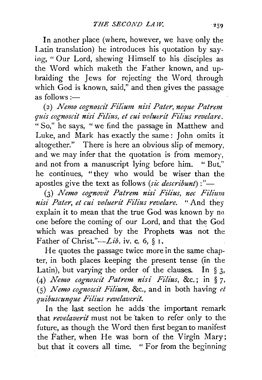In another place (where, however, we have only the Latin translation) he introduces his quotation by saying, "Our Lord, shewing Himself to his disciples as the Word which maketh the Father known, and upbraiding the Jews for rejecting the Word through which  $\overline{G}$ od is known, said," and then gives the passage as follows  $:=$ 

( 2) *Nemo cognoscit Filium nisi Pater, neque Patrem quis cognoscit nisi Filius, et cui voluerit Filius revelare.*  " So," he says, "we find the passage in Matthew and Luke, and Mark has exactly the same : John omits it altogether." There is here an obvious slip of memory, and we may infer that the quotation is from memory, and not from a manuscript lying before him. " But," he continues, "they who would be wiser than the apostles give the text as follows *(sic describunt)* :"-

(3) *Nemo cognovit Patrem nisi Filius, nee Filium nisi Pater, et cui voluerit Filius revelare.* " And they explain it to mean that the true God was known by no one before the coming of our Lord, and that the God which was preached by the Prophets was not the Father of *Christ."-Lib.* iv. c. 6, § I.

He quotes the passage twice more in the same chapter, in both places keeping the present tense (in the Latin), but varying the order of the clauses. In  $\S$  3, (4) *1Vemo cognoscit Patrem nisi Filius,* &c.; in § *7,*  (5) *Nemo cognoscit Filium,* &c., and in both having *et. quibuscunque Fzlius revelaverit.* 

In the last section he adds the important remark that *revelaverit* must not be 'taken to refer only to the future, as though the Word then first began to manifest the Father, when He was born of the Virgin Mary; but that it covers all time. " For from the beginning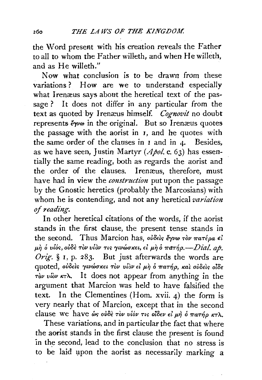the Word present with his creation reveals the Father to all to whom the Father wiHeth, and when He willeth, and as He willeth."

Now what conclusion is to be drawn from these variations? How are we to understand especially what Irenæus says about the heretical text of the passage ? It does not differ in any particular from the text as quoted by Iremeus himself. *Cognovit* no doubt represents  $\zeta \sim \omega$  in the original. But so Irenaeus quotes the passage with the aorist in 1, and he quotes with the same order of the clauses in  $\mathbf{I}$  and in  $\mathbf{I}$ . Besides. as we have seen, Justin Martyr *(Apo!.* c. 63) has essentially the same reading, both as regards the aorist and the order of the clauses. Irenæus, therefore, must have had in view the *construction* put upon the passage by the Gnostic heretics (probably the Marcosians) with whom he is contending, and not any heretical *variation of reading.* 

In other heretical citations of the words, if the aorist stands in the first clause, the present tense stands in the second. Thus Marcion has,  $o\dot{\theta}$ *idels*  $\dot{\epsilon}$ *yvω*  $\tau \dot{\theta}$ *v*  $\pi a \tau \dot{\epsilon}$ *pa*  $\epsilon \dot{\theta}$  $\mu$ *n* ο *υίός, ούδε τον υίον τις γινώσκει, εί μη ο πατήρ.- <i>Dial. ap. Orig.* § 1, p. *283.* But just afterwards the words are  $q$ uoted, ούδεις γινώσκει τον υίον εί μη ό πατήρ, και ουδεις οίδε  $\tau$ *ov viov*  $\kappa \tau \lambda$ . It does not appear from anything in the argument that Marcion was held to have falsified the text. In the Clementines (Hom. xvii. 4) the form is very nearly that of Marcion, except that in the second clause we have ώς ούδε τον υίόν τις οίδεν εί μή ό πατήρ κτλ.

These variations, and in particular the fact that where the aorist stands in the first clause the present is found in the second, lead to the conclusion that no stress is to be laid upon the aorist as necessarily marking a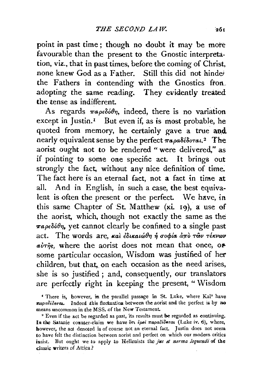point in past time ; though no doubt it may be more favourable than the present to the Gnostic interpretation, viz., that in past times, before the coming of Christ, none knew God as a Father. Still this did not hindei the Fathers in contending with the Gnostics fron\_. adopting the same reading. They evidently treated the tense as indifferent.

As regards  $\pi a \rho \epsilon \delta \phi \eta$ , indeed, there is no variation except in Justin.<sup> $I$ </sup> But even if, as is most probable, he quoted from memory, he certainly gave a true and. nearly equivalent sense by the perfect  $\pi a \rho a \delta \epsilon \delta \sigma \tau a \cdot a^2$  The aorist ought not to be rendered " were delivered," as if pointing to some one specific act. It brings out strongly the fact, without any nice definition of time. The fact here is an eternal fact, not a fact in time at all. And in English, in such a case, the best equivalent is often the present or the perfect. We have, in this same Chapter of St. Matthew (xi. 19), a use of the aorist, which, though not exactly the same as the  $\pi a \rho \epsilon \delta \delta \theta \eta$ , yet cannot clearly be confined to a single past act. The words are, και εδικαιώθη ή σοφία από των τέκνων  $a\dot{v}\tau\hat{\eta}s$ , where the aorist does not mean that once, or some particular occasion, Wisdom was justified of her children, but that, on each occasion as the need arises, she is so justified; and, consequently, our translators are perfectly right in keeping the present, "Wisdom

<sup>&</sup>lt;sup>*f*</sup> There is, however, in the parallel passage in St. Luke, where Kal<sup>2</sup> have  $\pi\alpha\rho a\delta\epsilon\delta\sigma\tau\alpha$ . Indeed this fluctuation between the aorist and the perfect is by no means uncommon in the MSS. of the New Testament.<br><sup>2</sup> Even if the act be regarded as past, its results must be regarded as continuing.

In the Satanic counter-claim we have *ότι έμοι παραδέδοται* (Luke iv. 6), where, however, the act denoted is of course not an eternal fact. Justin does not seem to have felt the distinction between aorist and perfect on which our modern critics insist. But ought we to apply to Hellenists the *jus et norma loquendi* of the classic writers of Attica?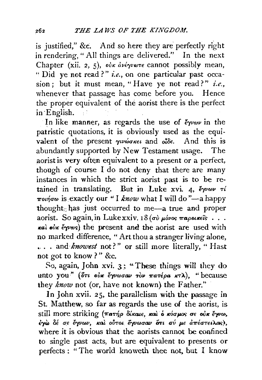is justified," &c. And so here they are perfectly right in rendering," All things are delivered." In the next Chapter (xii. 2, 5), *oux dvérywre* cannot possibly mean, " Did ye not read?" *i.e.*, on one particular past occasion; but it must mean, "Have ye not read?" *i.e.*, whenever that passage has come before you. Hence the proper equivalent of the aorist there is the perfect in ·Ehglish.

In like manner, as regards the use of  $\epsilon_{\gamma\nu\omega\nu}$  in the patristic quotations, it is obviously used as the equivalent of the present  $\gamma_1w_0\alpha_{K\epsilon\iota}$  and  $\delta\iota_0\delta\epsilon$ . And this is abundantly supported by New Testament usage. The aorist is very often equivalent to a present or a perfect, though of course I do not deny that there are many instances in which the strict aorist past is to be retained in translating. But in Luke xvi. 4,  $\epsilon \gamma \nu \omega \nu \tau \ell$ ποιήσω is exactly our "I *know* what I will do "-a happy thought; has just occurred to me-a true and proper aorist. So again, in Luke xxiv. 18 (σύ μόνος παροικεΐς...  $\kappa$ al oux  $\epsilon$   $\gamma$ v $\infty$ s) the present and the aorist are used with no marked difference, "Art thou a stranger Jiving alone, .... and *knowest* not?" or still more literally, "Hast not got to know ? " &c.

So, again, John xvi. 3 ; "These things will they do unto you" (*ort oux equino rov mare pa*  $\kappa$ *T)*, "because they *know* not (or, have not known) the Father."

In John xvii. 25, the parallelism with the passage in St. Matthew, so far as regards the use of the aorist, is still more striking *(πατήρ δίκαιε, και ο κόσμος σε ούκ έγνω*,<br>έγω δέ σε έγνων, και ούτοι *έγνωσαν ότι σύ με απέστειλας*), where it is obvious that the aorists cannot be confined to single past acts, but are equivalent to presents or perfects : "The world knoweth thee not. but I know